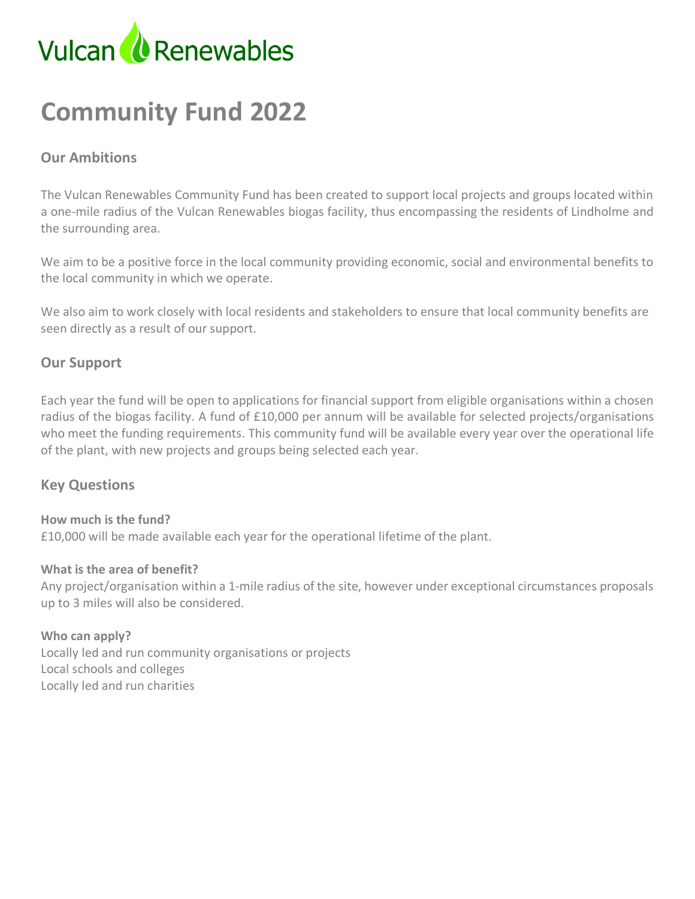

# **Community Fund 2022**

# **Our Ambitions**

The Vulcan Renewables Community Fund has been created to support local projects and groups located within a one-mile radius of the Vulcan Renewables biogas facility, thus encompassing the residents of Lindholme and the surrounding area.

We aim to be a positive force in the local community providing economic, social and environmental benefits to the local community in which we operate.

We also aim to work closely with local residents and stakeholders to ensure that local community benefits are seen directly as a result of our support.

#### **Our Support**

Each year the fund will be open to applications for financial support from eligible organisations within a chosen radius of the biogas facility. A fund of £10,000 per annum will be available for selected projects/organisations who meet the funding requirements. This community fund will be available every year over the operational life of the plant, with new projects and groups being selected each year.

#### **Key Questions**

#### **How much is the fund?**

£10,000 will be made available each year for the operational lifetime of the plant.

#### **What is the area of benefit?**

Any project/organisation within a 1-mile radius of the site, however under exceptional circumstances proposals up to 3 miles will also be considered.

#### **Who can apply?** Locally led and run community organisations or projects Local schools and colleges Locally led and run charities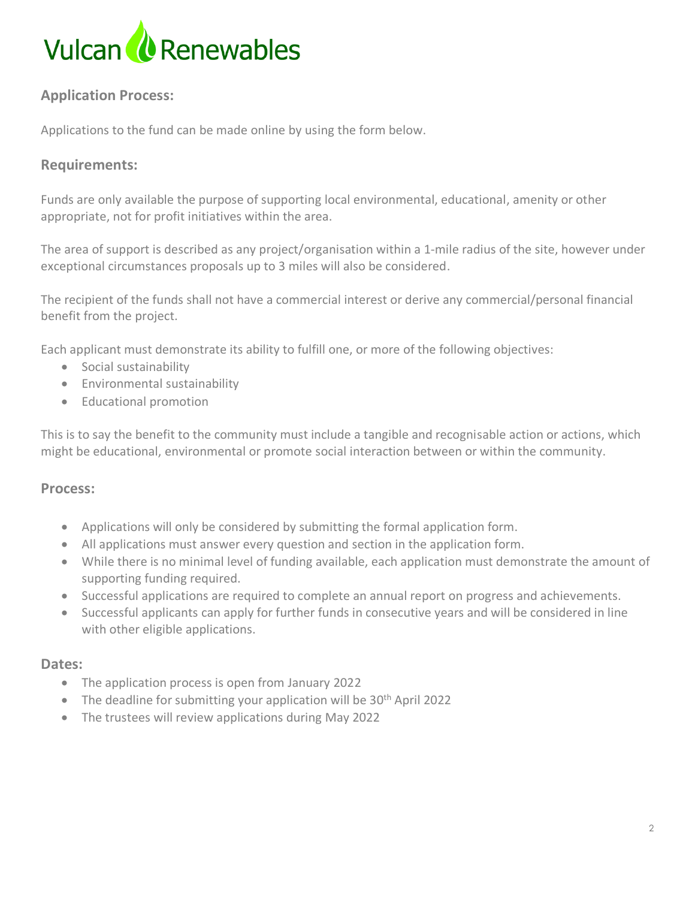

# **Application Process:**

Applications to the fund can be made online by using the form below.

#### **Requirements:**

Funds are only available the purpose of supporting local environmental, educational, amenity or other appropriate, not for profit initiatives within the area.

The area of support is described as any project/organisation within a 1-mile radius of the site, however under exceptional circumstances proposals up to 3 miles will also be considered.

The recipient of the funds shall not have a commercial interest or derive any commercial/personal financial benefit from the project.

Each applicant must demonstrate its ability to fulfill one, or more of the following objectives:

- Social sustainability
- Environmental sustainability
- Educational promotion

This is to say the benefit to the community must include a tangible and recognisable action or actions, which might be educational, environmental or promote social interaction between or within the community.

#### **Process:**

- Applications will only be considered by submitting the formal application form.
- All applications must answer every question and section in the application form.
- While there is no minimal level of funding available, each application must demonstrate the amount of supporting funding required.
- Successful applications are required to complete an annual report on progress and achievements.
- Successful applicants can apply for further funds in consecutive years and will be considered in line with other eligible applications.

#### **Dates:**

- The application process is open from January 2022
- The deadline for submitting your application will be 30<sup>th</sup> April 2022
- The trustees will review applications during May 2022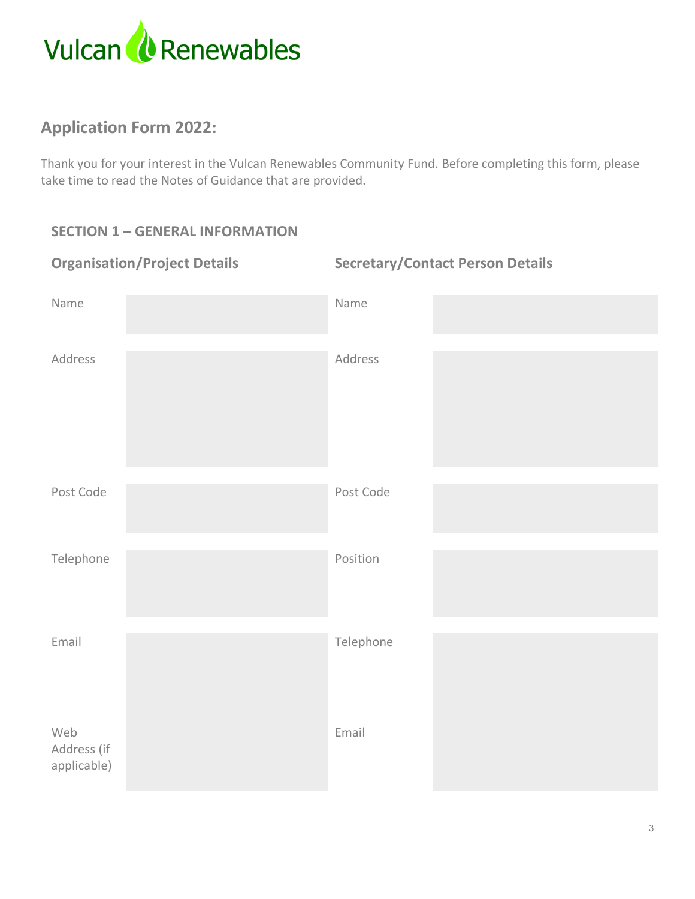

# **Application Form 2022:**

Thank you for your interest in the Vulcan Renewables Community Fund. Before completing this form, please take time to read the Notes of Guidance that are provided.

# **SECTION 1 – GENERAL INFORMATION**

| <b>Organisation/Project Details</b> | <b>Secretary/Contact Person Details</b> |  |
|-------------------------------------|-----------------------------------------|--|
| Name                                | Name                                    |  |
| Address                             | Address                                 |  |
| Post Code                           | Post Code                               |  |
| Telephone                           | Position                                |  |
| Email                               | Telephone                               |  |
| Web<br>Address (if<br>applicable)   | Email                                   |  |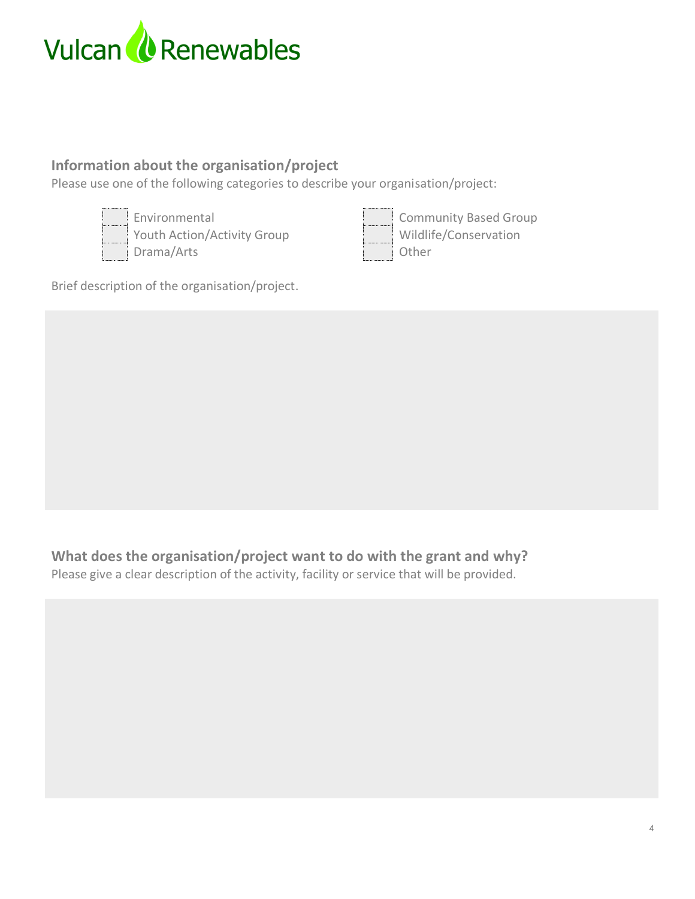

# **Information about the organisation/project**

Please use one of the following categories to describe your organisation/project:



Environmental **Community Based Group** Youth Action/Activity Group Wildlife/Conservation Drama/Arts **Drama/Arts** Other



Brief description of the organisation/project.

# **What does the organisation/project want to do with the grant and why?**

Please give a clear description of the activity, facility or service that will be provided.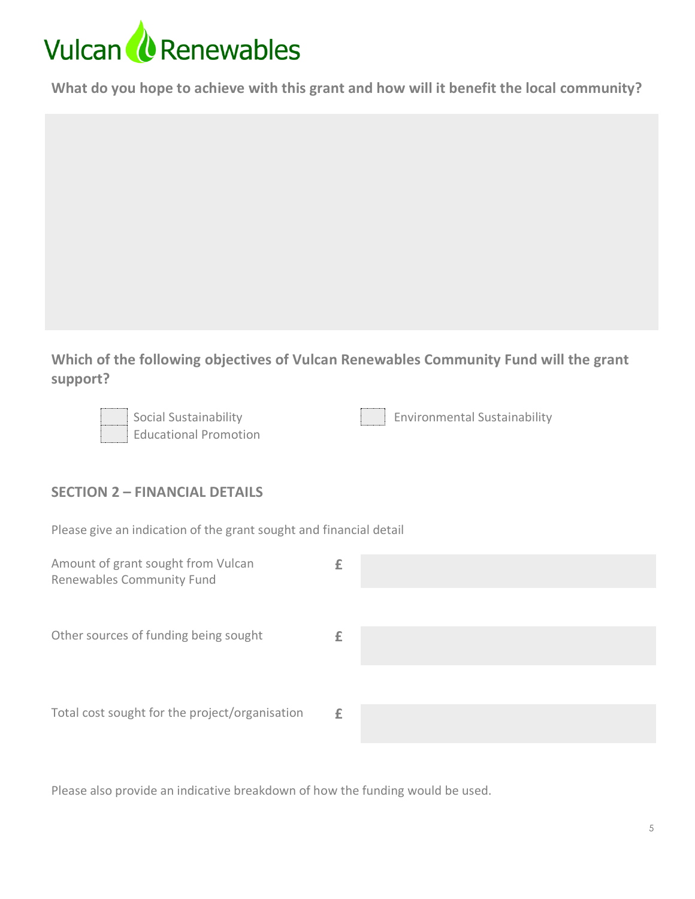# Vulcan *U* Renewables

**What do you hope to achieve with this grant and how will it benefit the local community?**

**Which of the following objectives of Vulcan Renewables Community Fund will the grant support?**



Educational Promotion

Social Sustainability **Environmental Sustainability** 

# **SECTION 2 – FINANCIAL DETAILS**

Please give an indication of the grant sought and financial detail

Please also provide an indicative breakdown of how the funding would be used.